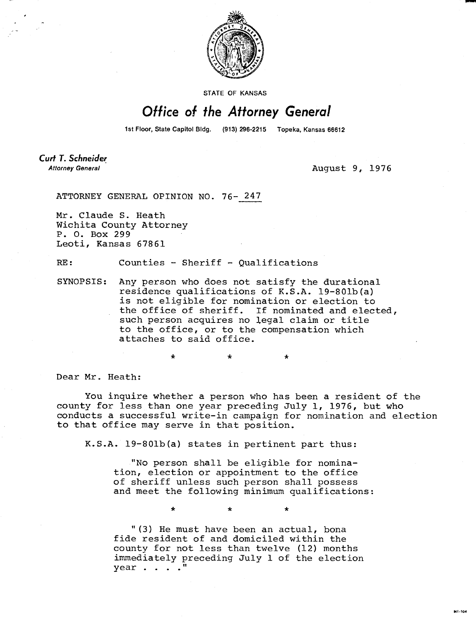

**STATE OF KANSAS** 

## Office of the Attorney General

1st Floor, State Capitol Bldg. (913) 296-2215 Topeka, Kansas 66612

Curt T. Schneider **Attorney General** 

August 9, 1976

ATTORNEY GENERAL OPINION NO. 76- 247

Mr. Claude S. Heath Wichita County Attorney P. 0. Box 299 Leoti, Kansas 67861

RE: Counties - Sheriff - Qualifications

SYNOPSIS: Any person who does not satisfy the durational residence qualifications of K.S.A. 19-801b(a) is not eligible for nomination or election to the office of sheriff. If nominated and elected, such person acquires no legal claim or title to the office, or to the compensation which attaches to said office.

Dear Mr. Heath:

You inquire whether a person who has been a resident of the county for less than one year preceding July 1, 1976, but who conducts a successful write-in campaign for nomination and election to that office may serve in that position.

K.S.A. 19-801b(a) states in pertinent part thus:

"No person shall be eligible for nomination, election or appointment to the office of sheriff unless such person shall possess and meet the following minimum qualifications:

"(3) He must have been an actual, bona fide resident of and domiciled within the county for not less than twelve (12) months immediately preceding July 1 of the election year . . . .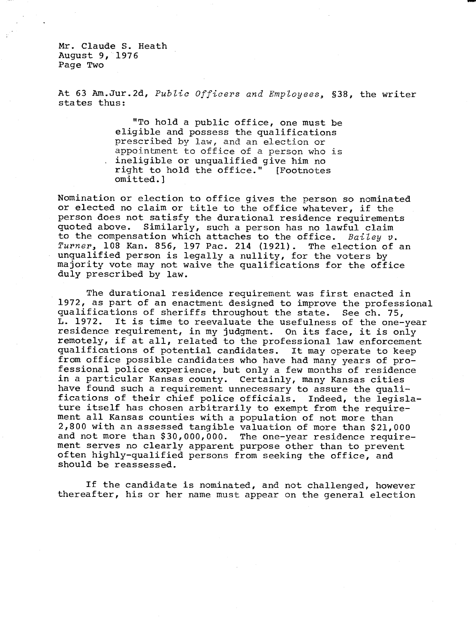Mr. Claude S. Heath August 9, 1976 Page Two

At 63 Am.Jur.2d, *Public Officers and Employees,* §38, the writer states thus:

> "To hold a public office, one must be eligible and possess the qualifications prescribed by law, and an election or appointment to office of a person who is ineligible or unqualified give him no right to hold the office." [Footnotes omitted.]

Nomination or election to office gives the person so nominated or elected no claim or title to the office whatever, if the person does not satisfy the durational residence requirements quoted above. Similarly, such a person has no lawful claim to the compensation which attaches to the office. *Bailey v. Turner,* 108 Kan. 856, 197 Pac. 214 (1921). The election of an unqualified person is legally a nullity, for the voters by majority vote may not waive the qualifications for the office duly prescribed by law.

The durational residence requirement was first enacted in 1972, as part of an enactment designed to improve the professional qualifications of sheriffs throughout the state. See ch. 75,<br>L. 1972. It is time to reevaluate the usefulness of the one-It is time to reevaluate the usefulness of the one-year residence requirement, in my judgment. On its face, it is only remotely, if at all, related to the professional law enforcement qualifications of potential candidates. It may operate to keep from office possible candidates who have had many years of professional police experience, but only a few months of residence in a particular Kansas county. Certainly, many Kansas cities have found such a requirement unnecessary to assure the qualifications of their chief police officials. Indeed, the legislature itself has chosen arbitrarily to exempt from the requirement all Kansas counties with a population of not more than 2,800 with an assessed tangible valuation of more than \$21,000 and not more than \$30,000,000. The one-year residence requirement serves no clearly apparent purpose other than to prevent often highly-qualified persons from seeking the office, and should be reassessed.

If the candidate is nominated, and not challenged, however thereafter, his or her name must appear on the general election